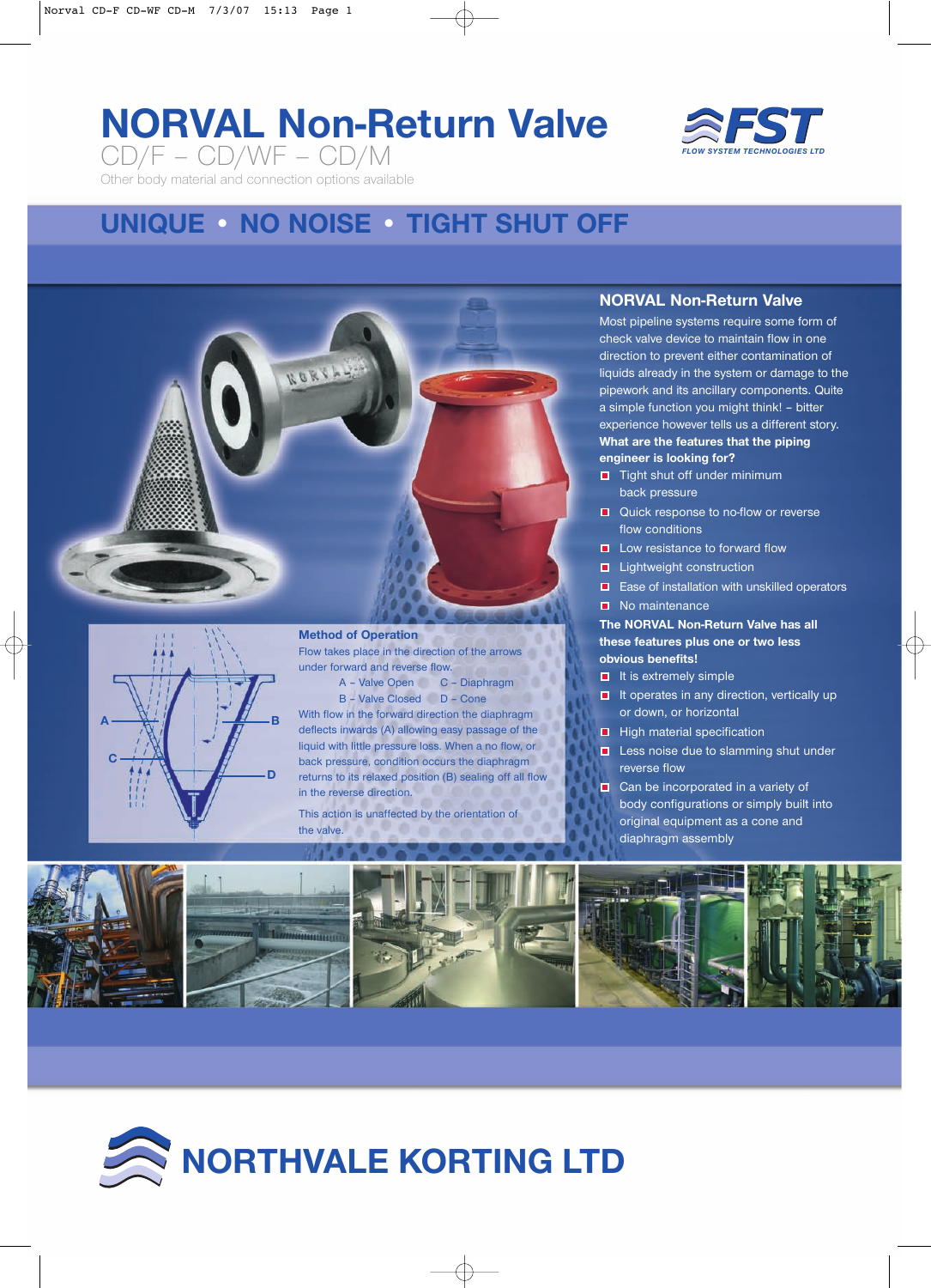# **NORVAL Non-Return Valve** CD/F – CD/WF – CD/M



Other body material and connection options available

## **UNIQUE • NO NOISE • TIGHT SHUT OFF**





**Method of Operation**

Flow takes place in the direction of the arrows under forward and reverse flow.

A – Valve Open C – Diaphragm B – Valve Closed D – Cone

With flow in the forward direction the diaphragm deflects inwards (A) allowing easy passage of the liquid with little pressure loss. When a no flow, or back pressure, condition occurs the diaphragm returns to its relaxed position (B) sealing off all flow in the reverse direction.

This action is unaffected by the orientation of the valve.

### **NORVAL Non-Return Valve**

Most pipeline systems require some form of check valve device to maintain flow in one direction to prevent either contamination of liquids already in the system or damage to the pipework and its ancillary components. Quite a simple function you might think! – bitter experience however tells us a different story. **What are the features that the piping engineer is looking for?**

- $\Box$  Tight shut off under minimum back pressure
- **Quick response to no-flow or reverse** flow conditions
- $\blacksquare$  Low resistance to forward flow
- **Lightweight construction**
- **E** Ease of installation with unskilled operators
- No maintenance

#### **The NORVAL Non-Return Valve has all these features plus one or two less obvious benefits!**

- $\blacksquare$  It is extremely simple
- $\blacksquare$  It operates in any direction, vertically up or down, or horizontal
- $\blacksquare$  High material specification
- **Less noise due to slamming shut under** reverse flow
- Can be incorporated in a variety of body configurations or simply built into original equipment as a cone and diaphragm assembly